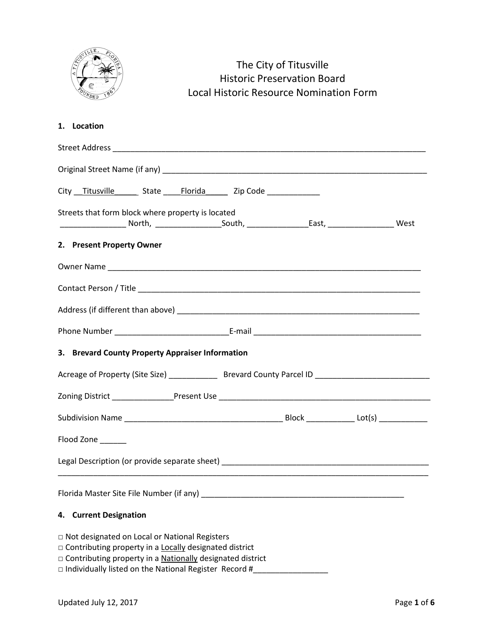|                                                                                                      | The City of Titusville<br><b>Historic Preservation Board</b><br><b>Local Historic Resource Nomination Form</b> |  |  |
|------------------------------------------------------------------------------------------------------|----------------------------------------------------------------------------------------------------------------|--|--|
| 1. Location                                                                                          |                                                                                                                |  |  |
|                                                                                                      |                                                                                                                |  |  |
|                                                                                                      |                                                                                                                |  |  |
| City Titusville State Florida Zip Code ___________                                                   |                                                                                                                |  |  |
| Streets that form block where property is located                                                    |                                                                                                                |  |  |
| 2. Present Property Owner                                                                            |                                                                                                                |  |  |
|                                                                                                      |                                                                                                                |  |  |
|                                                                                                      |                                                                                                                |  |  |
|                                                                                                      |                                                                                                                |  |  |
|                                                                                                      |                                                                                                                |  |  |
| 3. Brevard County Property Appraiser Information                                                     |                                                                                                                |  |  |
| Acreage of Property (Site Size) ________________ Brevard County Parcel ID __________________________ |                                                                                                                |  |  |
|                                                                                                      |                                                                                                                |  |  |
|                                                                                                      |                                                                                                                |  |  |
| Flood Zone                                                                                           |                                                                                                                |  |  |
|                                                                                                      |                                                                                                                |  |  |
|                                                                                                      |                                                                                                                |  |  |

## **4. Current Designation**

 $VLLE$ 

- □ Not designated on Local or National Registers
- □ Contributing property in a Locally designated district
- □ Contributing property in a **Nationally** designated district
- □ Individually listed on the National Register Record #\_\_\_\_\_\_\_\_\_\_\_\_\_\_\_\_\_\_\_\_\_\_\_\_\_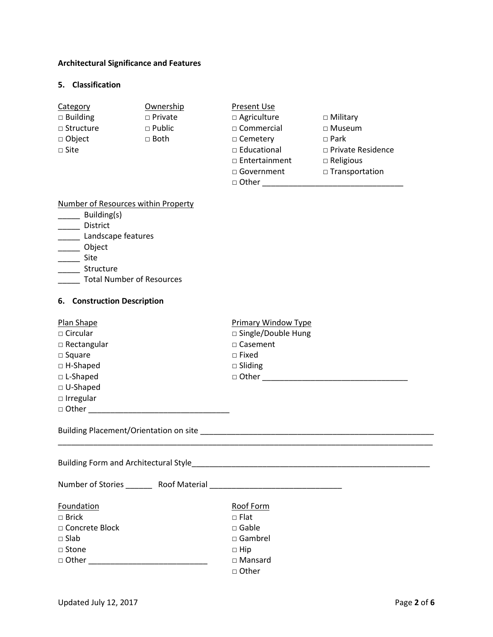## **Architectural Significance and Features**

#### **5. Classification**

| Category         | Ownership      | Present Use          |                          |
|------------------|----------------|----------------------|--------------------------|
| $\Box$ Building  | $\Box$ Private | $\Box$ Agriculture   | $\Box$ Military          |
| $\Box$ Structure | $\Box$ Public  | $\Box$ Commercial    | $\Box$ Museum            |
| $\Box$ Object    | $\Box$ Both    | $\Box$ Cemetery      | $\Box$ Park              |
| $\Box$ Site      |                | $\Box$ Educational   | $\Box$ Private Residence |
|                  |                | $\Box$ Entertainment | $\Box$ Religious         |
|                  |                | □ Government         | $\Box$ Transportation    |
|                  |                | □ Other              |                          |

## Number of Resources within Property

- \_\_\_\_\_\_ Building(s)
- \_\_\_\_\_ District
- **Landscape features**
- \_\_\_\_\_ Object
- \_\_\_\_\_ Site
- \_\_\_\_\_ Structure
- \_\_\_\_\_ Total Number of Resources

## **6. Construction Description**

| Plan Shape<br>$\Box$ Circular<br>$\Box$ Rectangular<br>$\square$ Square<br>$\Box$ H-Shaped<br>$\Box$ L-Shaped<br>$\Box$ U-Shaped<br>$\Box$ Irregular | <b>Primary Window Type</b><br>□ Single/Double Hung<br>$\Box$ Casement<br>$\Box$ Fixed<br>$\Box$ Sliding |
|------------------------------------------------------------------------------------------------------------------------------------------------------|---------------------------------------------------------------------------------------------------------|
|                                                                                                                                                      |                                                                                                         |
|                                                                                                                                                      |                                                                                                         |
| Foundation<br>$\Box$ Brick<br>$\Box$ Concrete Block<br>$\Box$ Slab<br>□ Stone<br>$\Box$ Other $\Box$                                                 | Roof Form<br>$\Box$ Flat<br>$\Box$ Gable<br>$\Box$ Gambrel<br>$\Box$ Hip<br>$\Box$ Mansard<br>□ Other   |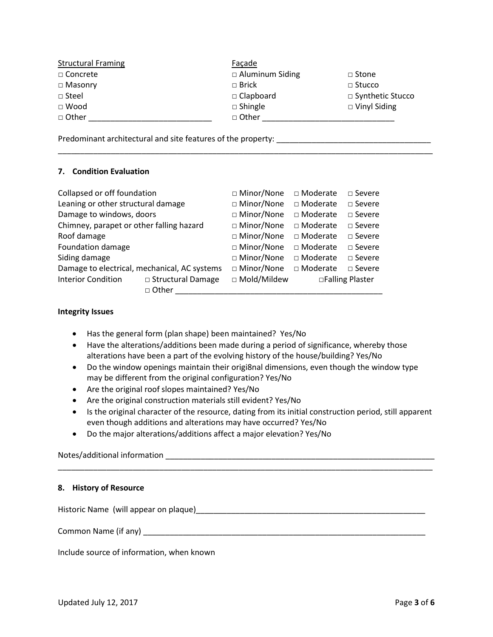| <b>Structural Framing</b> | Façade                 |                     |
|---------------------------|------------------------|---------------------|
| □ Concrete                | $\Box$ Aluminum Siding | $\Box$ Stone        |
| $\Box$ Masonry            | $\Box$ Brick           | $\Box$ Stucco       |
| $\Box$ Steel              | $\Box$ Clapboard       | □ Synthetic Stucco  |
| $\Box$ Wood               | $\Box$ Shingle         | $\Box$ Vinyl Siding |
| □ Other                   | □ Other                |                     |
|                           |                        |                     |

\_\_\_\_\_\_\_\_\_\_\_\_\_\_\_\_\_\_\_\_\_\_\_\_\_\_\_\_\_\_\_\_\_\_\_\_\_\_\_\_\_\_\_\_\_\_\_\_\_\_\_\_\_\_\_\_\_\_\_\_\_\_\_\_\_\_\_\_\_\_\_\_\_\_\_\_\_\_\_\_\_\_\_\_\_

Predominant architectural and site features of the property: \_\_\_\_\_\_\_\_\_\_\_\_\_\_\_\_\_\_\_

#### **7. Condition Evaluation**

| Collapsed or off foundation              |                                              | □ Minor/None  | □ Moderate      | $\Box$ Severe    |
|------------------------------------------|----------------------------------------------|---------------|-----------------|------------------|
| Leaning or other structural damage       |                                              | □ Minor/None  | □ Moderate      | $\square$ Severe |
| Damage to windows, doors                 |                                              | □ Minor/None  | □ Moderate      | $\Box$ Severe    |
| Chimney, parapet or other falling hazard |                                              | □ Minor/None  | $\Box$ Moderate | $\square$ Severe |
| Roof damage                              |                                              | □ Minor/None  | $\Box$ Moderate | $\Box$ Severe    |
| Foundation damage                        |                                              | □ Minor/None  | $\Box$ Moderate | $\Box$ Severe    |
| Siding damage                            |                                              | □ Minor/None  | $\Box$ Moderate | $\Box$ Severe    |
|                                          | Damage to electrical, mechanical, AC systems | □ Minor/None  | $\Box$ Moderate | $\Box$ Severe    |
| <b>Interior Condition</b>                | $\Box$ Structural Damage                     | □ Mold/Mildew |                 | □Falling Plaster |
|                                          | □ Other                                      |               |                 |                  |

#### **Integrity Issues**

- Has the general form (plan shape) been maintained? Yes/No
- Have the alterations/additions been made during a period of significance, whereby those alterations have been a part of the evolving history of the house/building? Yes/No
- Do the window openings maintain their origi8nal dimensions, even though the window type may be different from the original configuration? Yes/No
- Are the original roof slopes maintained? Yes/No
- Are the original construction materials still evident? Yes/No
- Is the original character of the resource, dating from its initial construction period, still apparent even though additions and alterations may have occurred? Yes/No

\_\_\_\_\_\_\_\_\_\_\_\_\_\_\_\_\_\_\_\_\_\_\_\_\_\_\_\_\_\_\_\_\_\_\_\_\_\_\_\_\_\_\_\_\_\_\_\_\_\_\_\_\_\_\_\_\_\_\_\_\_\_\_\_\_\_\_\_\_\_\_\_\_\_\_\_\_\_\_\_\_\_\_\_\_

• Do the major alterations/additions affect a major elevation? Yes/No

Notes/additional information \_\_\_\_\_\_\_\_\_\_\_\_\_\_\_\_\_\_\_\_\_\_\_\_\_\_\_\_\_\_\_\_\_\_\_\_\_\_\_\_\_\_\_\_\_\_\_\_\_\_\_\_\_\_\_\_\_\_\_\_\_

#### **8. History of Resource**

Historic Name (will appear on plaque) example and the set of the set of the set of the set of the set of the set of the set of the set of the set of the set of the set of the set of the set of the set of the set of the set

Common Name (if any) \_\_\_\_\_\_\_\_\_\_\_\_\_\_\_\_\_\_\_\_\_\_\_\_\_\_\_\_\_\_\_\_\_\_\_\_\_\_\_\_\_\_\_\_\_\_\_\_\_\_\_\_\_\_\_\_\_\_\_\_\_\_\_\_

Include source of information, when known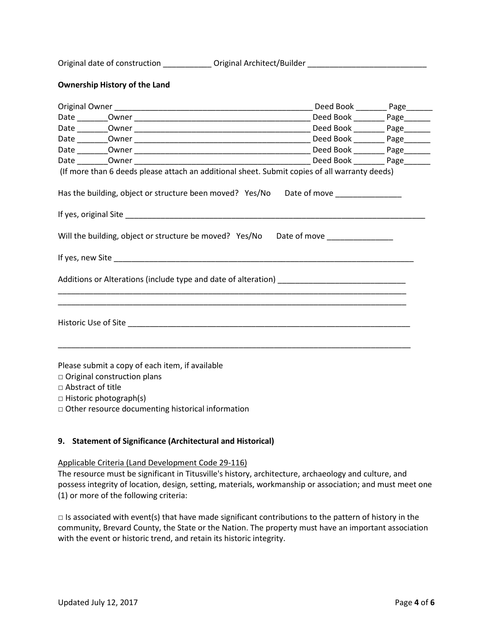| Original date of construction | Original Architect/Builder |  |
|-------------------------------|----------------------------|--|
|                               |                            |  |

#### **Ownership History of the Land**

|                                                                                                                                                                                                                | Deed Book ___________ Page________ |
|----------------------------------------------------------------------------------------------------------------------------------------------------------------------------------------------------------------|------------------------------------|
|                                                                                                                                                                                                                |                                    |
|                                                                                                                                                                                                                |                                    |
|                                                                                                                                                                                                                | Deed Book _______ Page______       |
| (If more than 6 deeds please attach an additional sheet. Submit copies of all warranty deeds)                                                                                                                  |                                    |
| Has the building, object or structure been moved? Yes/No Date of move ___________                                                                                                                              |                                    |
|                                                                                                                                                                                                                |                                    |
| Will the building, object or structure be moved? Yes/No Date of move ____________                                                                                                                              |                                    |
|                                                                                                                                                                                                                |                                    |
|                                                                                                                                                                                                                |                                    |
|                                                                                                                                                                                                                |                                    |
| Please submit a copy of each item, if available<br>$\Box$ Original construction plans<br>$\Box$ Abstract of title<br>$\Box$ Historic photograph(s)<br>$\Box$ Other resource documenting historical information |                                    |

#### **9. Statement of Significance (Architectural and Historical)**

#### Applicable Criteria (Land Development Code 29-116)

The resource must be significant in Titusville's history, architecture, archaeology and culture, and possess integrity of location, design, setting, materials, workmanship or association; and must meet one (1) or more of the following criteria:

 $\square$  Is associated with event(s) that have made significant contributions to the pattern of history in the community, Brevard County, the State or the Nation. The property must have an important association with the event or historic trend, and retain its historic integrity.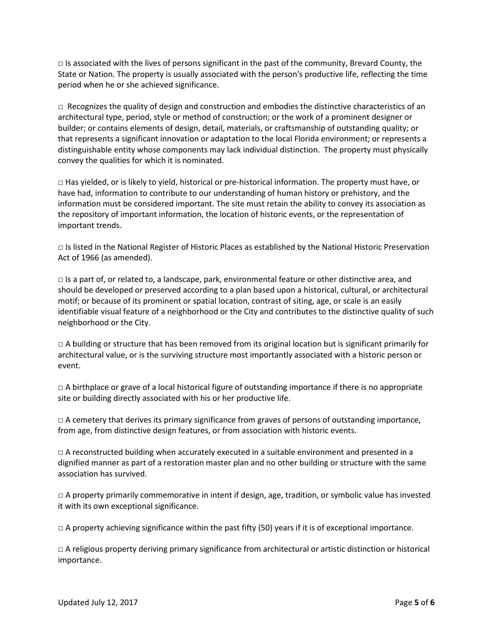$\Box$  Is associated with the lives of persons significant in the past of the community, Brevard County, the State or Nation. The property is usually associated with the person's productive life, reflecting the time period when he or she achieved significance.

 $\Box$  Recognizes the quality of design and construction and embodies the distinctive characteristics of an architectural type, period, style or method of construction; or the work of a prominent designer or builder; or contains elements of design, detail, materials, or craftsmanship of outstanding quality; or that represents a significant innovation or adaptation to the local Florida environment; or represents a distinguishable entity whose components may lack individual distinction. The property must physically convey the qualities for which it is nominated.

 $\Box$  Has yielded, or is likely to yield, historical or pre-historical information. The property must have, or have had, information to contribute to our understanding of human history or prehistory, and the information must be considered important. The site must retain the ability to convey its association as the repository of important information, the location of historic events, or the representation of important trends.

□ Is listed in the National Register of Historic Places as established by the National Historic Preservation Act of 1966 (as amended).

 $\Box$  Is a part of, or related to, a landscape, park, environmental feature or other distinctive area, and should be developed or preserved according to a plan based upon a historical, cultural, or architectural motif; or because of its prominent or spatial location, contrast of siting, age, or scale is an easily identifiable visual feature of a neighborhood or the City and contributes to the distinctive quality of such neighborhood or the City.

 $\Box$  A building or structure that has been removed from its original location but is significant primarily for architectural value, or is the surviving structure most importantly associated with a historic person or event.

 $\Box$  A birthplace or grave of a local historical figure of outstanding importance if there is no appropriate site or building directly associated with his or her productive life.

 $\Box$  A cemetery that derives its primary significance from graves of persons of outstanding importance, from age, from distinctive design features, or from association with historic events.

 $\Box$  A reconstructed building when accurately executed in a suitable environment and presented in a dignified manner as part of a restoration master plan and no other building or structure with the same association has survived.

 $\Box$  A property primarily commemorative in intent if design, age, tradition, or symbolic value has invested it with its own exceptional significance.

 $\Box$  A property achieving significance within the past fifty (50) years if it is of exceptional importance.

 $\Box$  A religious property deriving primary significance from architectural or artistic distinction or historical importance.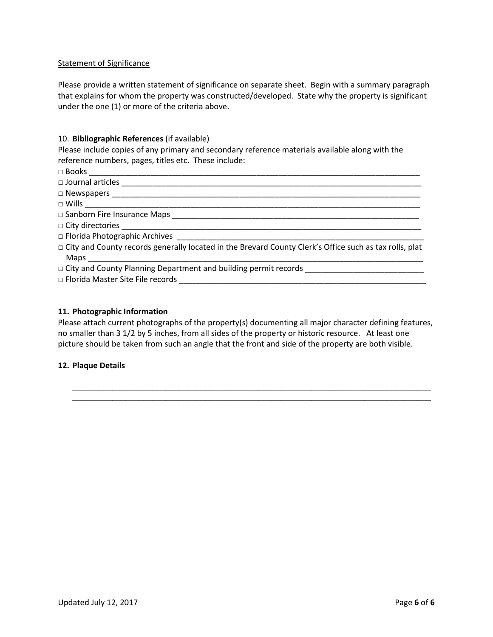#### Statement of Significance

Please provide a written statement of significance on separate sheet. Begin with a summary paragraph that explains for whom the property was constructed/developed. State why the property is significant under the one (1) or more of the criteria above.

#### 10. **Bibliographic References** (if available)

Please include copies of any primary and secondary reference materials available along with the reference numbers, pages, titles etc. These include:

- □ Books \_\_\_\_\_\_\_\_\_\_\_\_\_\_\_\_\_\_\_\_\_\_\_\_\_\_\_\_\_\_\_\_\_\_\_\_\_\_\_\_\_\_\_\_\_\_\_\_\_\_\_\_\_\_\_\_\_\_\_\_\_\_\_\_\_\_\_\_\_\_\_\_\_\_\_
- □ Journal articles \_\_\_\_\_\_\_\_\_\_\_\_\_\_\_\_\_\_\_\_\_\_\_\_\_\_\_\_\_\_\_\_\_\_\_\_\_\_\_\_\_\_\_\_\_\_\_\_\_\_\_\_\_\_\_\_\_\_\_\_\_\_\_\_\_\_\_\_

□ Newspapers \_\_\_\_\_\_\_\_\_\_\_\_\_\_\_\_\_\_\_\_\_\_\_\_\_\_\_\_\_\_\_\_\_\_\_\_\_\_\_\_\_\_\_\_\_\_\_\_\_\_\_\_\_\_\_\_\_\_\_\_\_\_\_\_\_\_\_\_\_\_

 $\Box$  Wills  $\Box$ 

- □ Sanborn Fire Insurance Maps \_\_\_\_\_\_\_\_\_\_\_\_\_\_\_\_\_\_\_\_\_\_\_\_\_\_\_\_\_\_\_\_\_\_\_\_\_\_\_\_\_\_\_\_\_\_\_\_\_\_\_\_\_\_\_\_
- $\square$  City directories  $\square$
- $\Box$  Florida Photographic Archives
- □ City and County records generally located in the Brevard County Clerk's Office such as tax rolls, plat  $Maps$
- □ City and County Planning Department and building permit records \_\_\_\_\_\_\_\_\_\_\_\_\_\_
- $\Box$  Florida Master Site File records

#### **11. Photographic Information**

Please attach current photographs of the property(s) documenting all major character defining features, no smaller than 3 1/2 by 5 inches, from all sides of the property or historic resource. At least one picture should be taken from such an angle that the front and side of the property are both visible.

\_\_\_\_\_\_\_\_\_\_\_\_\_\_\_\_\_\_\_\_\_\_\_\_\_\_\_\_\_\_\_\_\_\_\_\_\_\_\_\_\_\_\_\_\_\_\_\_\_\_\_\_\_\_\_\_\_\_\_\_\_\_\_\_\_\_\_\_\_\_\_\_\_\_\_\_\_\_\_\_\_ \_\_\_\_\_\_\_\_\_\_\_\_\_\_\_\_\_\_\_\_\_\_\_\_\_\_\_\_\_\_\_\_\_\_\_\_\_\_\_\_\_\_\_\_\_\_\_\_\_\_\_\_\_\_\_\_\_\_\_\_\_\_\_\_\_\_\_\_\_\_\_\_\_\_\_\_\_\_\_\_\_

#### **12. Plaque Details**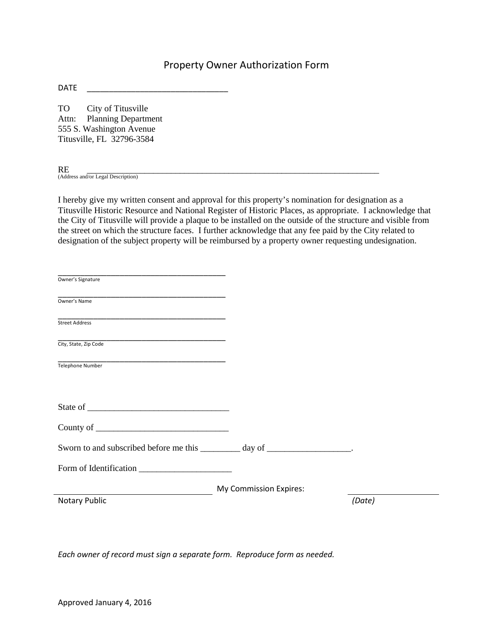# Property Owner Authorization Form

DATE \_\_\_\_\_\_\_\_\_\_\_\_\_\_\_\_\_\_\_\_\_\_\_\_\_\_\_\_\_\_\_\_

TO City of Titusville Attn: Planning Department 555 S. Washington Avenue Titusville, FL 32796-3584

RE<br>(Address and/or Legal Description)

I hereby give my written consent and approval for this property's nomination for designation as a Titusville Historic Resource and National Register of Historic Places, as appropriate. I acknowledge that the City of Titusville will provide a plaque to be installed on the outside of the structure and visible from the street on which the structure faces. I further acknowledge that any fee paid by the City related to designation of the subject property will be reimbursed by a property owner requesting undesignation.

| Owner's Signature                                                         |                        |        |
|---------------------------------------------------------------------------|------------------------|--------|
| Owner's Name                                                              |                        |        |
|                                                                           |                        |        |
| City, State, Zip Code                                                     |                        |        |
| Telephone Number                                                          |                        |        |
|                                                                           |                        |        |
|                                                                           |                        |        |
| Sworn to and subscribed before me this _________ day of ________________. |                        |        |
|                                                                           |                        |        |
|                                                                           | My Commission Expires: |        |
| Notary Public                                                             |                        | (Date) |
|                                                                           |                        |        |

*Each owner of record must sign a separate form. Reproduce form as needed.*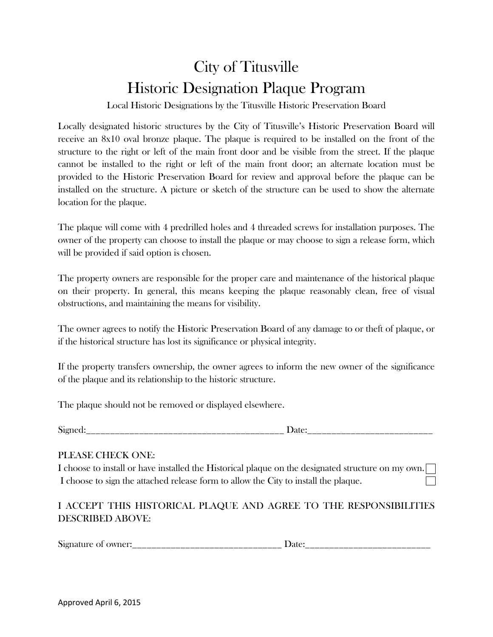# City of Titusville Historic Designation Plaque Program

Local Historic Designations by the Titusville Historic Preservation Board

Locally designated historic structures by the City of Titusville's Historic Preservation Board will receive an 8x10 oval bronze plaque. The plaque is required to be installed on the front of the structure to the right or left of the main front door and be visible from the street. If the plaque cannot be installed to the right or left of the main front door; an alternate location must be provided to the Historic Preservation Board for review and approval before the plaque can be installed on the structure. A picture or sketch of the structure can be used to show the alternate location for the plaque.

The plaque will come with 4 predrilled holes and 4 threaded screws for installation purposes. The owner of the property can choose to install the plaque or may choose to sign a release form, which will be provided if said option is chosen.

The property owners are responsible for the proper care and maintenance of the historical plaque on their property. In general, this means keeping the plaque reasonably clean, free of visual obstructions, and maintaining the means for visibility.

The owner agrees to notify the Historic Preservation Board of any damage to or theft of plaque, or if the historical structure has lost its significance or physical integrity.

If the property transfers ownership, the owner agrees to inform the new owner of the significance of the plaque and its relationship to the historic structure.

The plaque should not be removed or displayed elsewhere.

Signed: The Date:

## PLEASE CHECK ONE:

I choose to install or have installed the Historical plaque on the designated structure on my own. I choose to sign the attached release form to allow the City to install the plaque.

# I ACCEPT THIS HISTORICAL PLAQUE AND AGREE TO THE RESPONSIBILITIES DESCRIBED ABOVE:

Signature of owner:\_\_\_\_\_\_\_\_\_\_\_\_\_\_\_\_\_\_\_\_\_\_\_\_\_\_\_\_\_\_\_ Date:\_\_\_\_\_\_\_\_\_\_\_\_\_\_\_\_\_\_\_\_\_\_\_\_\_\_